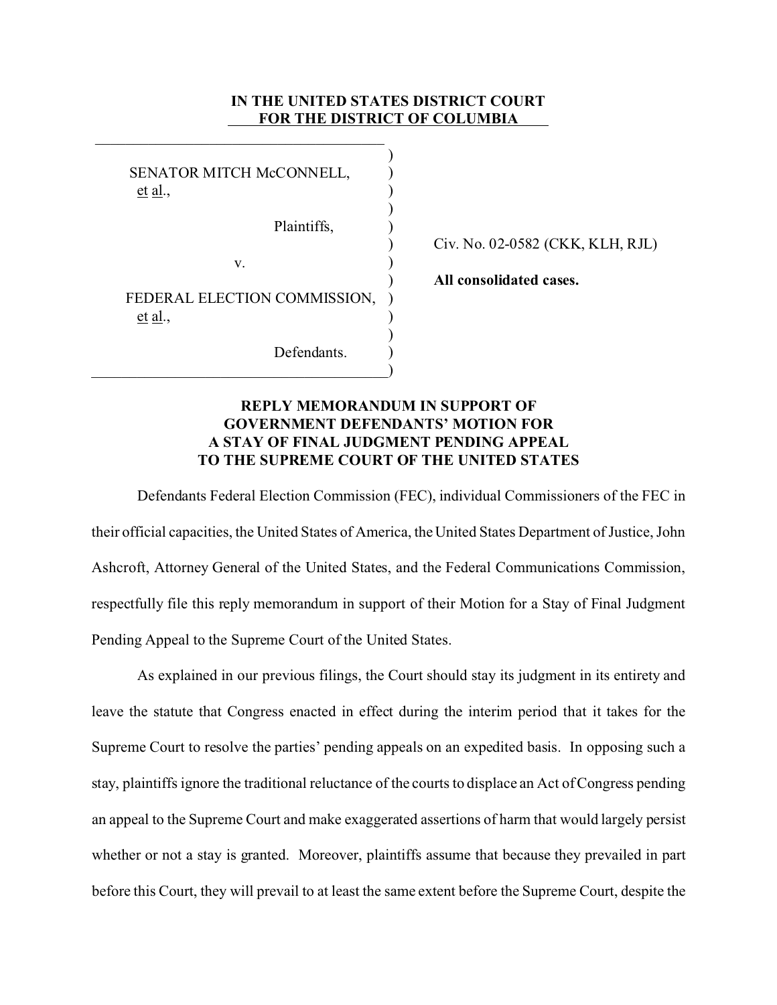## **IN THE UNITED STATES DISTRICT COURT FOR THE DISTRICT OF COLUMBIA**

| SENATOR MITCH McCONNELL,<br><u>et al.,</u> |  |
|--------------------------------------------|--|
| Plaintiffs,                                |  |
| v.                                         |  |
| FEDERAL ELECTION COMMISSION,<br>et al.,    |  |
| Defendants.                                |  |

\_\_\_\_\_\_\_\_\_\_\_\_\_\_\_\_\_\_\_\_\_\_\_\_\_\_\_\_\_\_\_\_\_\_\_\_\_\_

) Civ. No. 02-0582 (CKK, KLH, RJL)

) **All consolidated cases.**

## **REPLY MEMORANDUM IN SUPPORT OF GOVERNMENT DEFENDANTS' MOTION FOR A STAY OF FINAL JUDGMENT PENDING APPEAL TO THE SUPREME COURT OF THE UNITED STATES**

Defendants Federal Election Commission (FEC), individual Commissioners of the FEC in their official capacities, the United States of America, the United States Department of Justice, John Ashcroft, Attorney General of the United States, and the Federal Communications Commission, respectfully file this reply memorandum in support of their Motion for a Stay of Final Judgment Pending Appeal to the Supreme Court of the United States.

As explained in our previous filings, the Court should stay its judgment in its entirety and leave the statute that Congress enacted in effect during the interim period that it takes for the Supreme Court to resolve the parties' pending appeals on an expedited basis. In opposing such a stay, plaintiffs ignore the traditional reluctance of the courts to displace an Act of Congress pending an appeal to the Supreme Court and make exaggerated assertions of harm that would largely persist whether or not a stay is granted. Moreover, plaintiffs assume that because they prevailed in part before this Court, they will prevail to at least the same extent before the Supreme Court, despite the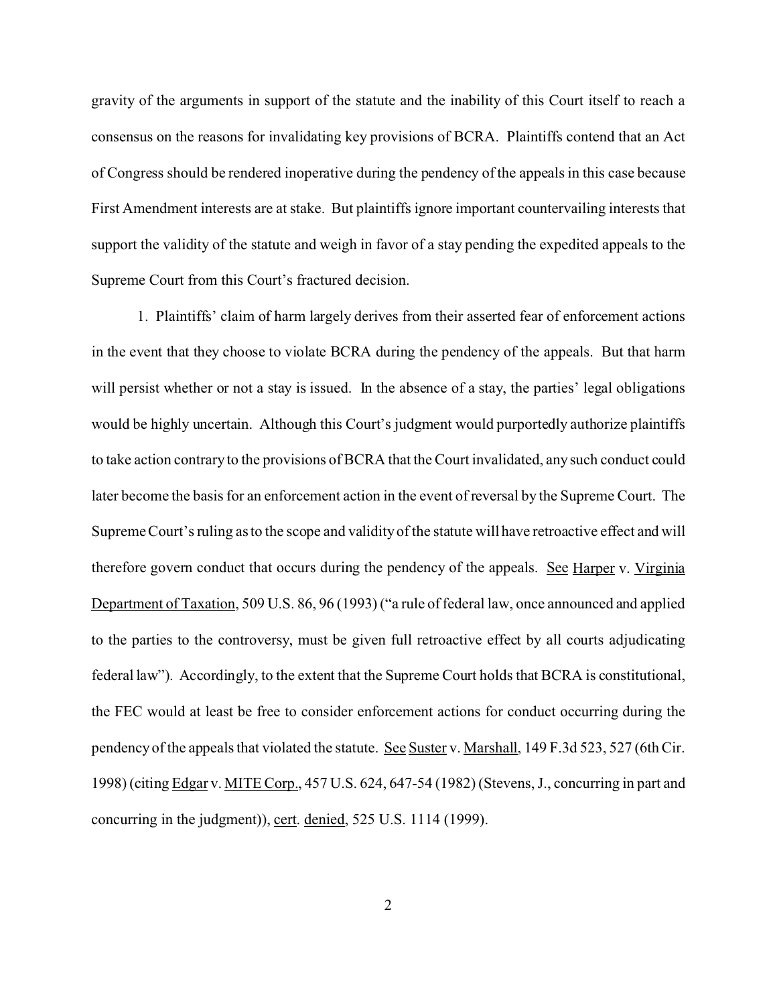gravity of the arguments in support of the statute and the inability of this Court itself to reach a consensus on the reasons for invalidating key provisions of BCRA. Plaintiffs contend that an Act of Congress should be rendered inoperative during the pendency of the appeals in this case because First Amendment interests are at stake. But plaintiffs ignore important countervailing interests that support the validity of the statute and weigh in favor of a stay pending the expedited appeals to the Supreme Court from this Court's fractured decision.

1. Plaintiffs' claim of harm largely derives from their asserted fear of enforcement actions in the event that they choose to violate BCRA during the pendency of the appeals. But that harm will persist whether or not a stay is issued. In the absence of a stay, the parties' legal obligations would be highly uncertain. Although this Court's judgment would purportedly authorize plaintiffs to take action contrary to the provisions of BCRA that the Court invalidated, any such conduct could later become the basis for an enforcement action in the event of reversal by the Supreme Court. The Supreme Court's ruling as to the scope and validity of the statute will have retroactive effect and will therefore govern conduct that occurs during the pendency of the appeals. See Harper v. Virginia Department of Taxation, 509 U.S. 86, 96 (1993) ("a rule of federal law, once announced and applied to the parties to the controversy, must be given full retroactive effect by all courts adjudicating federal law"). Accordingly, to the extent that the Supreme Court holds that BCRA is constitutional, the FEC would at least be free to consider enforcement actions for conduct occurring during the pendency of the appeals that violated the statute. See Suster v. Marshall, 149 F.3d 523, 527 (6th Cir. 1998) (citing Edgar v. MITE Corp., 457 U.S. 624, 647-54 (1982) (Stevens, J., concurring in part and concurring in the judgment)), cert. denied, 525 U.S. 1114 (1999).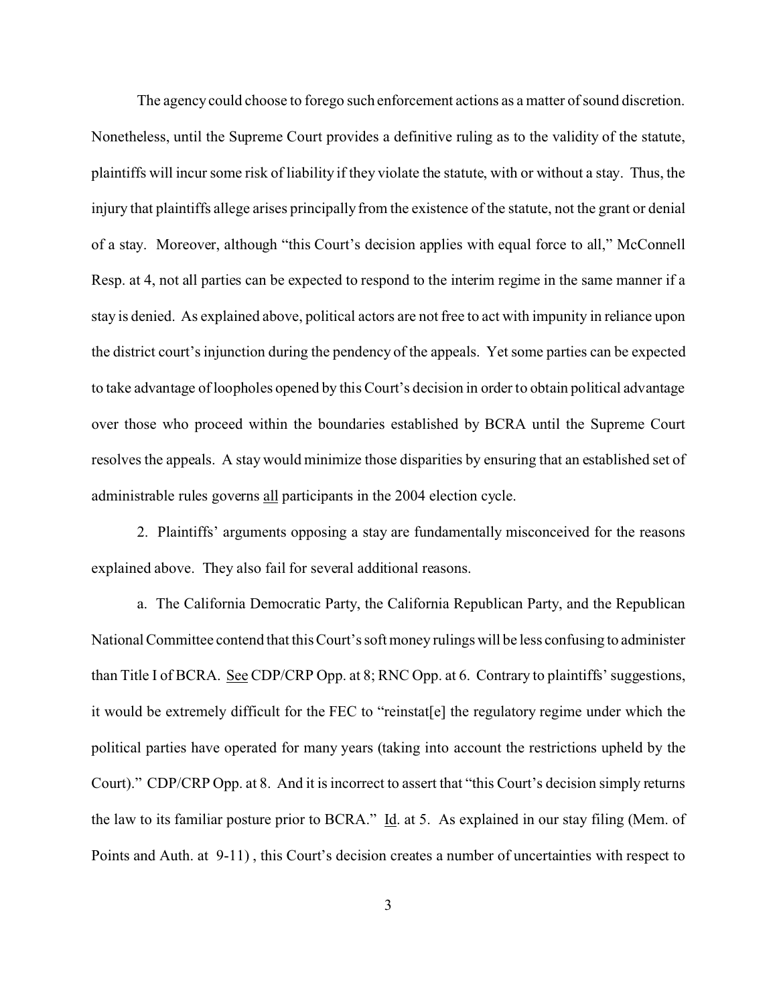The agency could choose to forego such enforcement actions as a matter of sound discretion. Nonetheless, until the Supreme Court provides a definitive ruling as to the validity of the statute, plaintiffs will incur some risk of liability if they violate the statute, with or without a stay. Thus, the injury that plaintiffs allege arises principally from the existence of the statute, not the grant or denial of a stay. Moreover, although "this Court's decision applies with equal force to all," McConnell Resp. at 4, not all parties can be expected to respond to the interim regime in the same manner if a stay is denied. As explained above, political actors are not free to act with impunity in reliance upon the district court's injunction during the pendency of the appeals. Yet some parties can be expected to take advantage of loopholes opened by this Court's decision in order to obtain political advantage over those who proceed within the boundaries established by BCRA until the Supreme Court resolves the appeals. A stay would minimize those disparities by ensuring that an established set of administrable rules governs all participants in the 2004 election cycle.

2. Plaintiffs' arguments opposing a stay are fundamentally misconceived for the reasons explained above. They also fail for several additional reasons.

a. The California Democratic Party, the California Republican Party, and the Republican National Committee contend that this Court's soft money rulings will be less confusing to administer than Title I of BCRA. See CDP/CRP Opp. at 8; RNC Opp. at 6. Contrary to plaintiffs' suggestions, it would be extremely difficult for the FEC to "reinstat[e] the regulatory regime under which the political parties have operated for many years (taking into account the restrictions upheld by the Court)." CDP/CRP Opp. at 8. And it is incorrect to assert that "this Court's decision simply returns the law to its familiar posture prior to BCRA." Id. at 5. As explained in our stay filing (Mem. of Points and Auth. at 9-11) , this Court's decision creates a number of uncertainties with respect to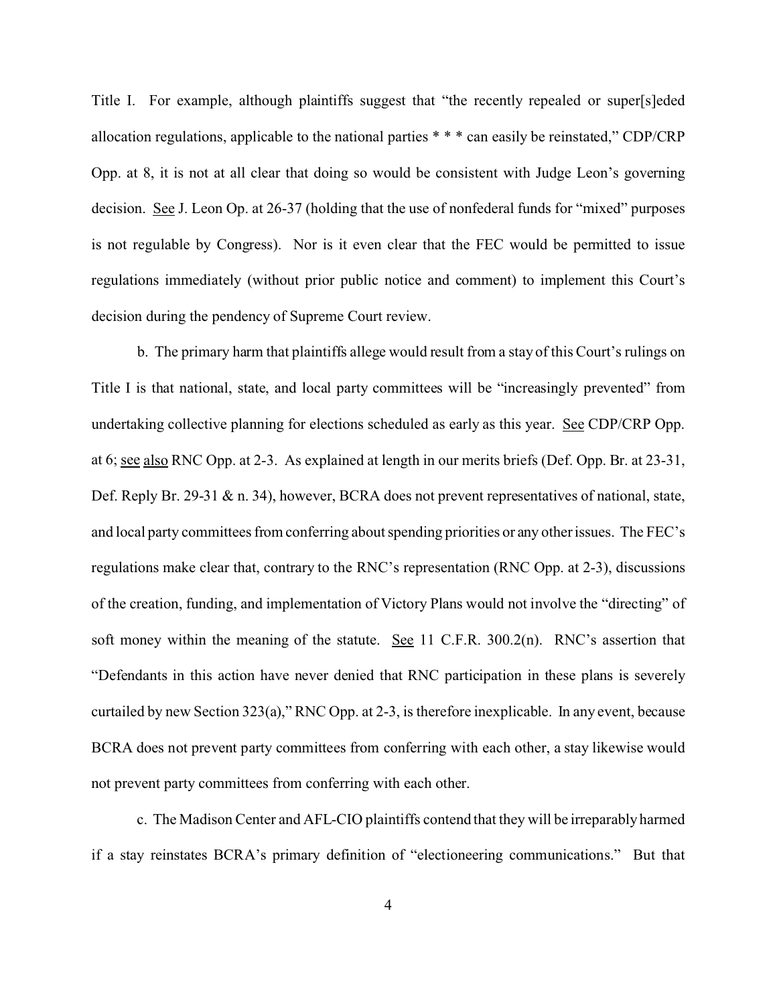Title I. For example, although plaintiffs suggest that "the recently repealed or super[s]eded allocation regulations, applicable to the national parties \* \* \* can easily be reinstated," CDP/CRP Opp. at 8, it is not at all clear that doing so would be consistent with Judge Leon's governing decision. See J. Leon Op. at 26-37 (holding that the use of nonfederal funds for "mixed" purposes is not regulable by Congress). Nor is it even clear that the FEC would be permitted to issue regulations immediately (without prior public notice and comment) to implement this Court's decision during the pendency of Supreme Court review.

b. The primary harm that plaintiffs allege would result from a stay of this Court's rulings on Title I is that national, state, and local party committees will be "increasingly prevented" from undertaking collective planning for elections scheduled as early as this year. See CDP/CRP Opp. at 6; see also RNC Opp. at 2-3. As explained at length in our merits briefs (Def. Opp. Br. at 23-31, Def. Reply Br. 29-31 & n. 34), however, BCRA does not prevent representatives of national, state, and local party committees from conferring about spending priorities or any other issues. The FEC's regulations make clear that, contrary to the RNC's representation (RNC Opp. at 2-3), discussions of the creation, funding, and implementation of Victory Plans would not involve the "directing" of soft money within the meaning of the statute. See 11 C.F.R. 300.2(n). RNC's assertion that "Defendants in this action have never denied that RNC participation in these plans is severely curtailed by new Section 323(a)," RNC Opp. at 2-3, is therefore inexplicable. In any event, because BCRA does not prevent party committees from conferring with each other, a stay likewise would not prevent party committees from conferring with each other.

c. The Madison Center and AFL-CIO plaintiffs contend that they will be irreparably harmed if a stay reinstates BCRA's primary definition of "electioneering communications." But that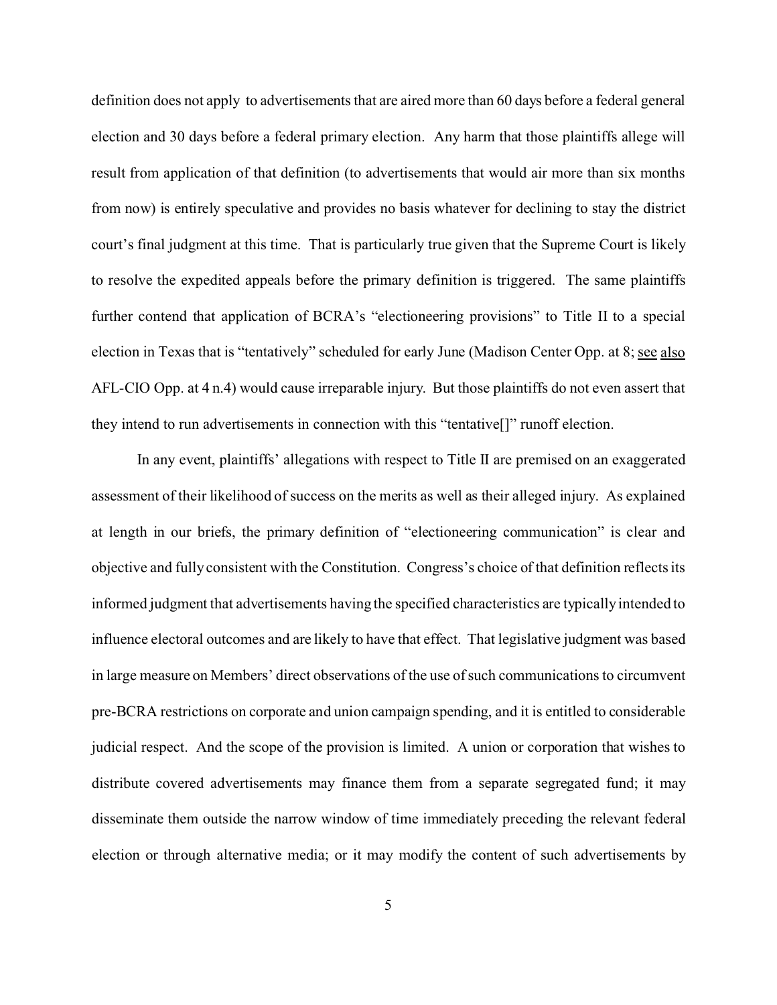definition does not apply to advertisements that are aired more than 60 days before a federal general election and 30 days before a federal primary election. Any harm that those plaintiffs allege will result from application of that definition (to advertisements that would air more than six months from now) is entirely speculative and provides no basis whatever for declining to stay the district court's final judgment at this time. That is particularly true given that the Supreme Court is likely to resolve the expedited appeals before the primary definition is triggered. The same plaintiffs further contend that application of BCRA's "electioneering provisions" to Title II to a special election in Texas that is "tentatively" scheduled for early June (Madison Center Opp. at 8; see also AFL-CIO Opp. at 4 n.4) would cause irreparable injury. But those plaintiffs do not even assert that they intend to run advertisements in connection with this "tentative[]" runoff election.

In any event, plaintiffs' allegations with respect to Title II are premised on an exaggerated assessment of their likelihood of success on the merits as well as their alleged injury. As explained at length in our briefs, the primary definition of "electioneering communication" is clear and objective and fully consistent with the Constitution. Congress's choice of that definition reflects its informed judgment that advertisements having the specified characteristics are typically intended to influence electoral outcomes and are likely to have that effect. That legislative judgment was based in large measure on Members' direct observations of the use of such communications to circumvent pre-BCRA restrictions on corporate and union campaign spending, and it is entitled to considerable judicial respect. And the scope of the provision is limited. A union or corporation that wishes to distribute covered advertisements may finance them from a separate segregated fund; it may disseminate them outside the narrow window of time immediately preceding the relevant federal election or through alternative media; or it may modify the content of such advertisements by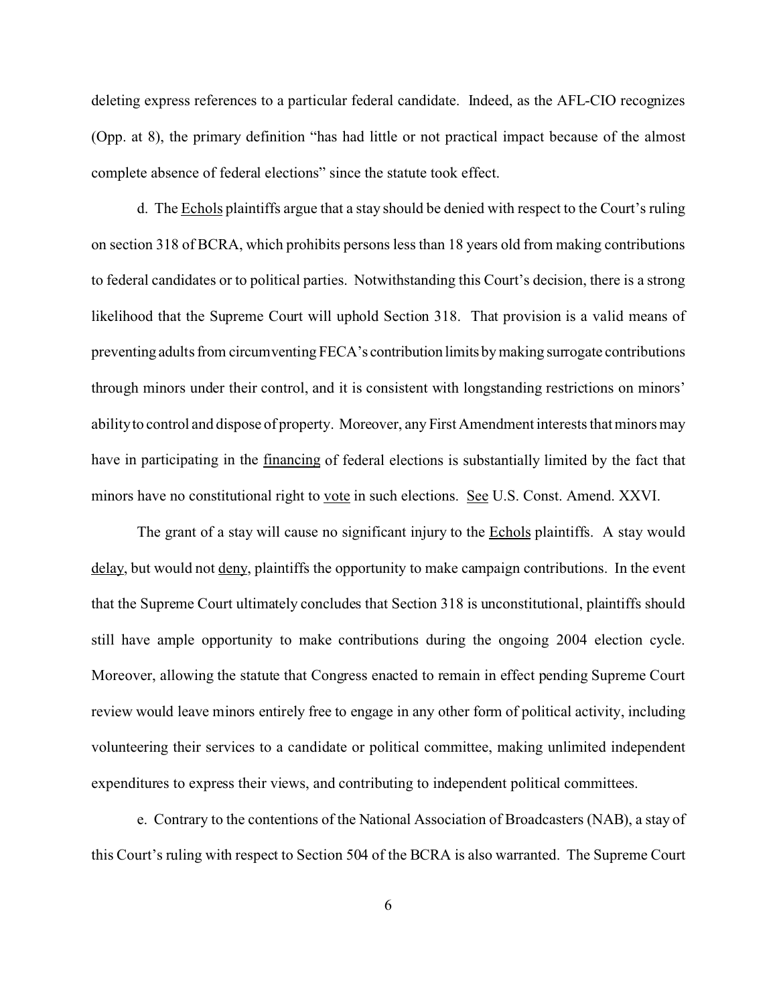deleting express references to a particular federal candidate. Indeed, as the AFL-CIO recognizes (Opp. at 8), the primary definition "has had little or not practical impact because of the almost complete absence of federal elections" since the statute took effect.

d. The Echols plaintiffs argue that a stay should be denied with respect to the Court's ruling on section 318 of BCRA, which prohibits persons less than 18 years old from making contributions to federal candidates or to political parties. Notwithstanding this Court's decision, there is a strong likelihood that the Supreme Court will uphold Section 318. That provision is a valid means of preventing adults from circumventing FECA's contribution limits by making surrogate contributions through minors under their control, and it is consistent with longstanding restrictions on minors' ability to control and dispose of property. Moreover, any First Amendment interests that minors may have in participating in the financing of federal elections is substantially limited by the fact that minors have no constitutional right to vote in such elections. See U.S. Const. Amend. XXVI.

The grant of a stay will cause no significant injury to the **Echols** plaintiffs. A stay would delay, but would not deny, plaintiffs the opportunity to make campaign contributions. In the event that the Supreme Court ultimately concludes that Section 318 is unconstitutional, plaintiffs should still have ample opportunity to make contributions during the ongoing 2004 election cycle. Moreover, allowing the statute that Congress enacted to remain in effect pending Supreme Court review would leave minors entirely free to engage in any other form of political activity, including volunteering their services to a candidate or political committee, making unlimited independent expenditures to express their views, and contributing to independent political committees.

e. Contrary to the contentions of the National Association of Broadcasters (NAB), a stay of this Court's ruling with respect to Section 504 of the BCRA is also warranted. The Supreme Court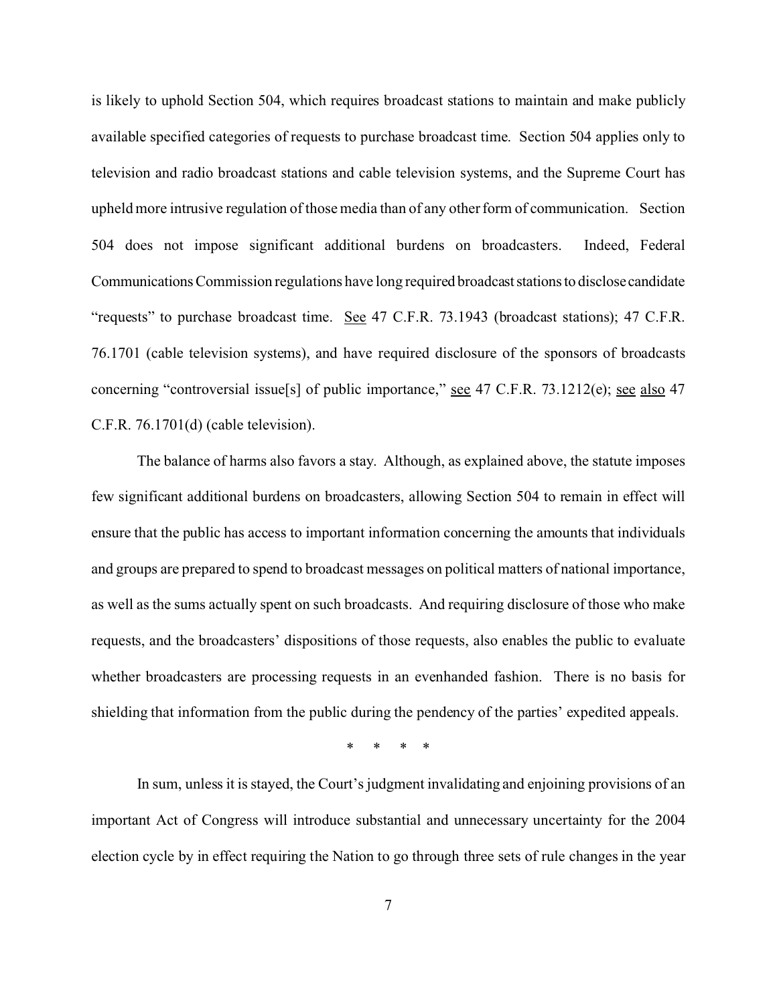is likely to uphold Section 504, which requires broadcast stations to maintain and make publicly available specified categories of requests to purchase broadcast time. Section 504 applies only to television and radio broadcast stations and cable television systems, and the Supreme Court has upheld more intrusive regulation of those media than of any other form of communication. Section 504 does not impose significant additional burdens on broadcasters. Indeed, Federal Communications Commission regulations have long required broadcast stations to disclose candidate "requests" to purchase broadcast time. See 47 C.F.R. 73.1943 (broadcast stations); 47 C.F.R. 76.1701 (cable television systems), and have required disclosure of the sponsors of broadcasts concerning "controversial issue[s] of public importance," <u>see</u> 47 C.F.R. 73.1212(e); <u>see also</u> 47 C.F.R. 76.1701(d) (cable television).

The balance of harms also favors a stay. Although, as explained above, the statute imposes few significant additional burdens on broadcasters, allowing Section 504 to remain in effect will ensure that the public has access to important information concerning the amounts that individuals and groups are prepared to spend to broadcast messages on political matters of national importance, as well as the sums actually spent on such broadcasts. And requiring disclosure of those who make requests, and the broadcasters' dispositions of those requests, also enables the public to evaluate whether broadcasters are processing requests in an evenhanded fashion. There is no basis for shielding that information from the public during the pendency of the parties' expedited appeals.

\* \* \* \*

In sum, unless it is stayed, the Court's judgment invalidating and enjoining provisions of an important Act of Congress will introduce substantial and unnecessary uncertainty for the 2004 election cycle by in effect requiring the Nation to go through three sets of rule changes in the year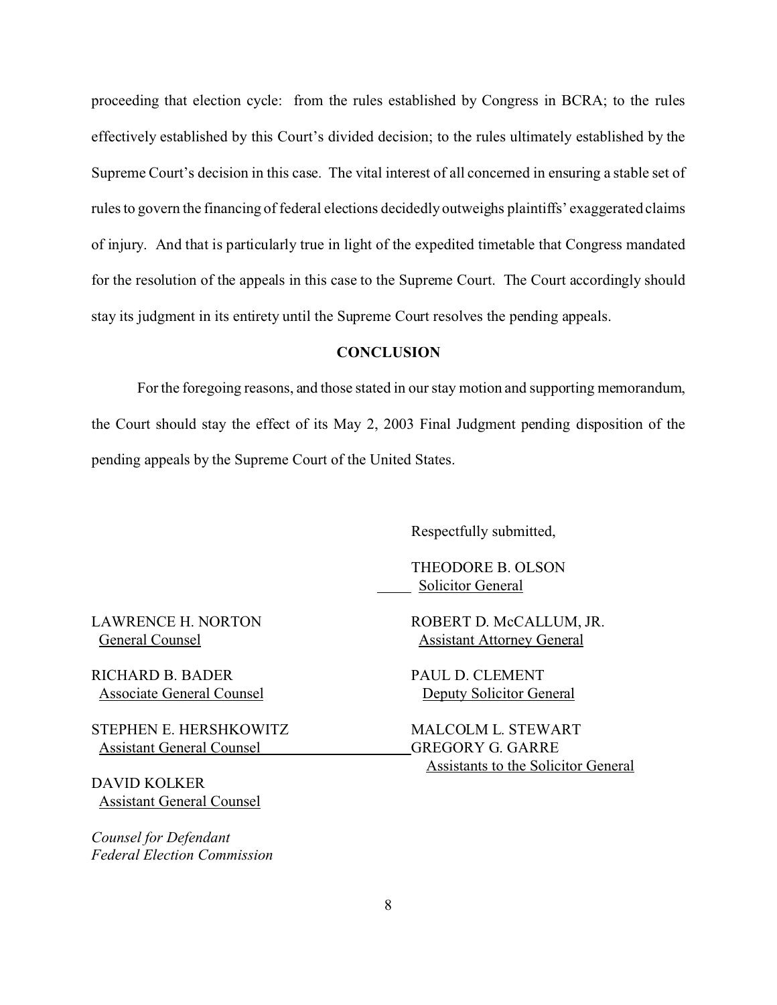proceeding that election cycle: from the rules established by Congress in BCRA; to the rules effectively established by this Court's divided decision; to the rules ultimately established by the Supreme Court's decision in this case. The vital interest of all concerned in ensuring a stable set of rules to govern the financing of federal elections decidedly outweighs plaintiffs' exaggerated claims of injury. And that is particularly true in light of the expedited timetable that Congress mandated for the resolution of the appeals in this case to the Supreme Court. The Court accordingly should stay its judgment in its entirety until the Supreme Court resolves the pending appeals.

## **CONCLUSION**

For the foregoing reasons, and those stated in our stay motion and supporting memorandum, the Court should stay the effect of its May 2, 2003 Final Judgment pending disposition of the pending appeals by the Supreme Court of the United States.

Respectfully submitted,

THEODORE B. OLSON **Solicitor General** 

RICHARD B. BADER PAUL D. CLEMENT

STEPHEN E. HERSHKOWITZ MALCOLM L. STEWART Assistant General Counsel GREGORY G. GARRE

DAVID KOLKER Assistant General Counsel

*Counsel for Defendant Federal Election Commission*

LAWRENCE H. NORTON ROBERT D. McCALLUM, JR. General Counsel Assistant Attorney General

Associate General Counsel Deputy Solicitor General

Assistants to the Solicitor General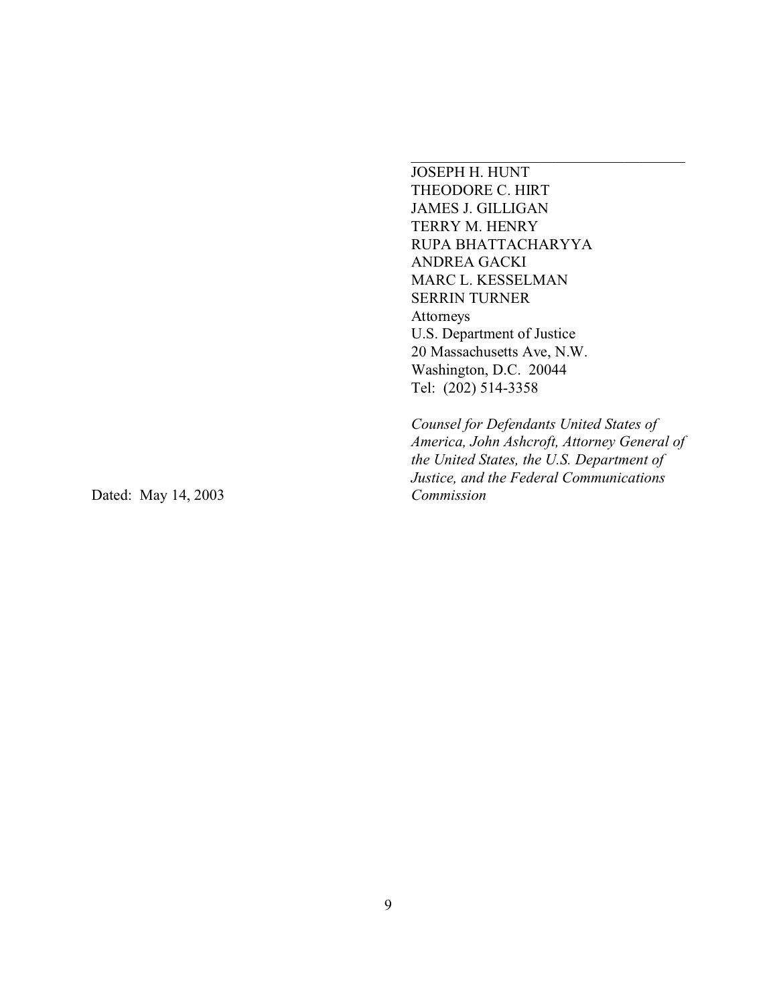JOSEPH H. HUNT THEODORE C. HIRT JAMES J. GILLIGAN TERRY M. HENRY RUPA BHATTACHARYYA ANDREA GACKI MARC L. KESSELMAN SERRIN TURNER Attorneys U.S. Department of Justice 20 Massachusetts Ave, N.W. Washington, D.C. 20044 Tel: (202) 514-3358

*Counsel for Defendants United States of America, John Ashcroft, Attorney General of the United States, the U.S. Department of Justice, and the Federal Communications*

Dated: May 14, 2003 *Commission*